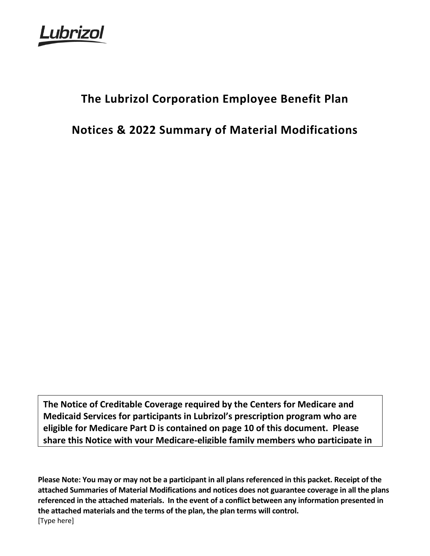uhrizol

# **The Lubrizol Corporation Employee Benefit Plan**

**Notices & 2022 Summary of Material Modifications**

**The Notice of Creditable Coverage required by the Centers for Medicare and Medicaid Services for participants in Lubrizol's prescription program who are eligible for Medicare Part D is contained on page 10 of this document. Please share this Notice with your Medicare-eligible family members who participate in** 

[Type here] **Please Note: You may or may not be a participant in all plans referenced in this packet. Receipt of the attached Summaries of Material Modifications and notices does not guarantee coverage in all the plans referenced in the attached materials. In the event of a conflict between any information presented in the attached materials and the terms of the plan, the plan terms will control.**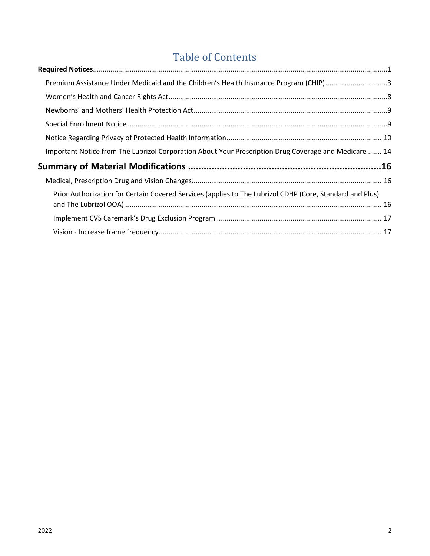# Table of Contents

| Premium Assistance Under Medicaid and the Children's Health Insurance Program (CHIP)3                    |  |
|----------------------------------------------------------------------------------------------------------|--|
|                                                                                                          |  |
|                                                                                                          |  |
|                                                                                                          |  |
|                                                                                                          |  |
| Important Notice from The Lubrizol Corporation About Your Prescription Drug Coverage and Medicare  14    |  |
|                                                                                                          |  |
|                                                                                                          |  |
| Prior Authorization for Certain Covered Services (applies to The Lubrizol CDHP (Core, Standard and Plus) |  |
|                                                                                                          |  |
|                                                                                                          |  |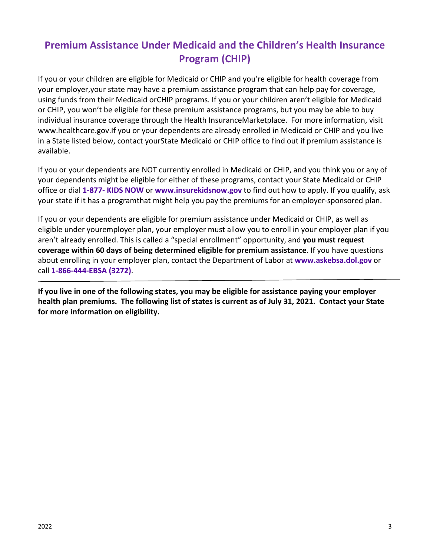# <span id="page-2-0"></span>**Premium Assistance Under Medicaid and the Children's Health Insurance Program (CHIP)**

If you or your children are eligible for Medicaid or CHIP and you're eligible for health coverage from your employer,your state may have a premium assistance program that can help pay for coverage, using funds from their Medicaid orCHIP programs. If you or your children aren't eligible for Medicaid or CHIP, you won't be eligible for these premium assistance programs, but you may be able to buy individual insurance coverage through the Health InsuranceMarketplace. For more information, visit [www.healthcare.gov.](http://www.healthcare.gov/)If you or your dependents are already enrolled in Medicaid or CHIP and you live in a State listed below, contact yourState Medicaid or CHIP office to find out if premium assistance is available.

If you or your dependents are NOT currently enrolled in Medicaid or CHIP, and you think you or any of your dependents might be eligible for either of these programs, contact your State Medicaid or CHIP office or dial **1-877- KIDS NOW** or **[www.insurekidsnow.gov](http://www.insurekidsnow.gov/)** to find out how to apply. If you qualify, ask your state if it has a programthat might help you pay the premiums for an employer-sponsored plan.

If you or your dependents are eligible for premium assistance under Medicaid or CHIP, as well as eligible under youremployer plan, your employer must allow you to enroll in your employer plan if you aren't already enrolled. This is called a "special enrollment" opportunity, and **you must request coverage within 60 days of being determined eligible for premium assistance**. If you have questions about enrolling in your employer plan, contact the Department of Labor at **[www.askebsa.dol.gov](http://www.askebsa.dol.gov/)** or call **1-866-444-EBSA (3272)**.

**If you live in one of the following states, you may be eligible for assistance paying your employer health plan premiums. The following list of states is current as of July 31, 2021. Contact your State for more information on eligibility.**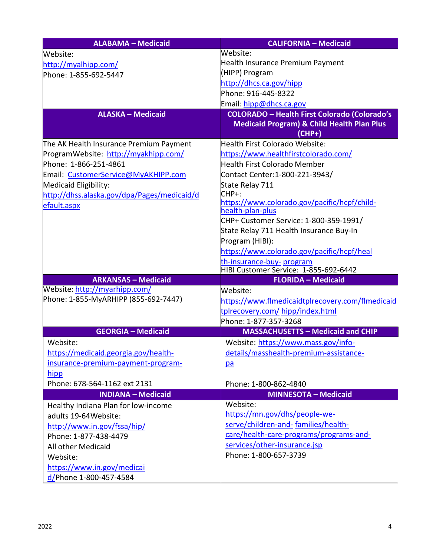| <b>ALABAMA - Medicaid</b>                   | <b>CALIFORNIA - Medicaid</b>                                     |  |  |
|---------------------------------------------|------------------------------------------------------------------|--|--|
| Website:                                    | Website:                                                         |  |  |
| http://myalhipp.com/                        | Health Insurance Premium Payment                                 |  |  |
| Phone: 1-855-692-5447                       | (HIPP) Program                                                   |  |  |
|                                             | http://dhcs.ca.gov/hipp                                          |  |  |
|                                             | Phone: 916-445-8322                                              |  |  |
|                                             | Email: hipp@dhcs.ca.gov                                          |  |  |
| <b>ALASKA - Medicaid</b>                    | <b>COLORADO - Health First Colorado (Colorado's</b>              |  |  |
|                                             | <b>Medicaid Program) &amp; Child Health Plan Plus</b>            |  |  |
|                                             | (CHP+)                                                           |  |  |
| The AK Health Insurance Premium Payment     | Health First Colorado Website:                                   |  |  |
| ProgramWebsite: http://myakhipp.com/        | https://www.healthfirstcolorado.com/                             |  |  |
| Phone: 1-866-251-4861                       | <b>Health First Colorado Member</b>                              |  |  |
| Email: CustomerService@MyAKHIPP.com         | Contact Center: 1-800-221-3943/                                  |  |  |
| Medicaid Eligibility:                       | State Relay 711                                                  |  |  |
| http://dhss.alaska.gov/dpa/Pages/medicaid/d | CHP+:                                                            |  |  |
| efault.aspx                                 | https://www.colorado.gov/pacific/hcpf/child-<br>health-plan-plus |  |  |
|                                             | CHP+ Customer Service: 1-800-359-1991/                           |  |  |
|                                             | State Relay 711 Health Insurance Buy-In                          |  |  |
|                                             | Program (HIBI):                                                  |  |  |
|                                             | https://www.colorado.gov/pacific/hcpf/heal                       |  |  |
|                                             | th-insurance-buy- program                                        |  |  |
|                                             | HIBI Customer Service: 1-855-692-6442                            |  |  |
| <b>ARKANSAS - Medicaid</b>                  | <b>FLORIDA - Medicaid</b>                                        |  |  |
| Website: http://myarhipp.com/               | Website:                                                         |  |  |
| Phone: 1-855-MyARHIPP (855-692-7447)        | https://www.flmedicaidtplrecovery.com/flmedicaid                 |  |  |
|                                             | tplrecovery.com/hipp/index.html                                  |  |  |
|                                             | Phone: 1-877-357-3268                                            |  |  |
| <b>GEORGIA - Medicaid</b>                   | <b>MASSACHUSETTS - Medicaid and CHIP</b>                         |  |  |
| Website:                                    | Website: https://www.mass.gov/info-                              |  |  |
| https://medicaid.georgia.gov/health-        | details/masshealth-premium-assistance-                           |  |  |
| insurance-premium-payment-program-          | pa                                                               |  |  |
| hipp                                        |                                                                  |  |  |
| Phone: 678-564-1162 ext 2131                | Phone: 1-800-862-4840                                            |  |  |
| <b>INDIANA - Medicaid</b>                   | <b>MINNESOTA - Medicaid</b>                                      |  |  |
| Healthy Indiana Plan for low-income         | Website:                                                         |  |  |
| adults 19-64 Website:                       | https://mn.gov/dhs/people-we-                                    |  |  |
| http://www.in.gov/fssa/hip/                 | serve/children-and-families/health-                              |  |  |
| Phone: 1-877-438-4479                       | care/health-care-programs/programs-and-                          |  |  |
| All other Medicaid                          | services/other-insurance.jsp                                     |  |  |
| Website:                                    | Phone: 1-800-657-3739                                            |  |  |
| https://www.in.gov/medicai                  |                                                                  |  |  |
| d/Phone 1-800-457-4584                      |                                                                  |  |  |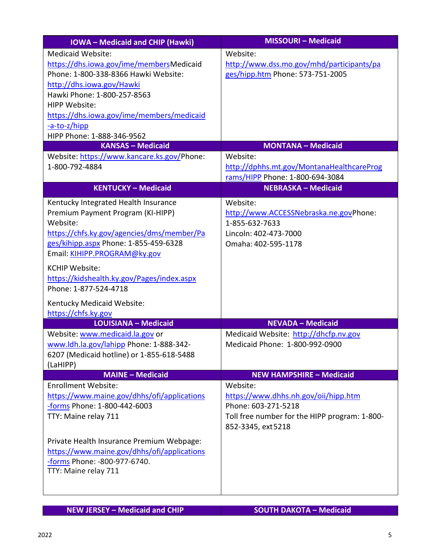| <b>IOWA-Medicaid and CHIP (Hawki)</b>                                                                                                                                                                                                                                                                                                                                            | <b>MISSOURI - Medicaid</b>                                                                                                                    |
|----------------------------------------------------------------------------------------------------------------------------------------------------------------------------------------------------------------------------------------------------------------------------------------------------------------------------------------------------------------------------------|-----------------------------------------------------------------------------------------------------------------------------------------------|
| <b>Medicaid Website:</b><br>https://dhs.iowa.gov/ime/membersMedicaid<br>Phone: 1-800-338-8366 Hawki Website:<br>http://dhs.iowa.gov/Hawki<br>Hawki Phone: 1-800-257-8563<br>HIPP Website:<br>https://dhs.iowa.gov/ime/members/medicaid<br>-a-to-z/hipp<br>HIPP Phone: 1-888-346-9562<br><b>KANSAS - Medicaid</b><br>Website: https://www.kancare.ks.gov/Phone:<br>1-800-792-4884 | Website:<br>http://www.dss.mo.gov/mhd/participants/pa<br>ges/hipp.htm Phone: 573-751-2005<br><b>MONTANA - Medicaid</b><br>Website:            |
|                                                                                                                                                                                                                                                                                                                                                                                  | http://dphhs.mt.gov/MontanaHealthcareProg<br>rams/HIPP Phone: 1-800-694-3084                                                                  |
| <b>KENTUCKY - Medicaid</b>                                                                                                                                                                                                                                                                                                                                                       | <b>NEBRASKA - Medicaid</b>                                                                                                                    |
| Kentucky Integrated Health Insurance<br>Premium Payment Program (KI-HIPP)<br>Website:<br>https://chfs.ky.gov/agencies/dms/member/Pa<br>ges/kihipp.aspx Phone: 1-855-459-6328<br>Email: KIHIPP.PROGRAM@ky.gov<br><b>KCHIP Website:</b><br>https://kidshealth.ky.gov/Pages/index.aspx<br>Phone: 1-877-524-4718<br>Kentucky Medicaid Website:<br>https://chfs.ky.gov                | Website:<br>http://www.ACCESSNebraska.ne.govPhone:<br>1-855-632-7633<br>Lincoln: 402-473-7000<br>Omaha: 402-595-1178                          |
| <b>LOUISIANA - Medicaid</b>                                                                                                                                                                                                                                                                                                                                                      | <b>NEVADA - Medicaid</b>                                                                                                                      |
| Website: www.medicaid.la.gov or<br>www.ldh.la.gov/lahipp Phone: 1-888-342-<br>6207 (Medicaid hotline) or 1-855-618-5488<br>(LaHIPP)                                                                                                                                                                                                                                              | Medicaid Website: http://dhcfp.nv.gov<br>Medicaid Phone: 1-800-992-0900                                                                       |
| <b>MAINE - Medicaid</b>                                                                                                                                                                                                                                                                                                                                                          | <b>NEW HAMPSHIRE - Medicaid</b>                                                                                                               |
| <b>Enrollment Website:</b><br>https://www.maine.gov/dhhs/ofi/applications<br>-forms Phone: 1-800-442-6003<br>TTY: Maine relay 711                                                                                                                                                                                                                                                | Website:<br>https://www.dhhs.nh.gov/oii/hipp.htm<br>Phone: 603-271-5218<br>Toll free number for the HIPP program: 1-800-<br>852-3345, ext5218 |
| Private Health Insurance Premium Webpage:<br>https://www.maine.gov/dhhs/ofi/applications<br>-forms Phone: -800-977-6740.<br>TTY: Maine relay 711                                                                                                                                                                                                                                 |                                                                                                                                               |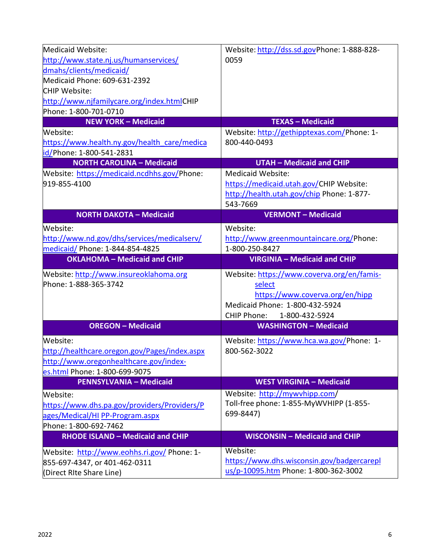| Medicaid Website:                                                               | Website: http://dss.sd.govPhone: 1-888-828- |
|---------------------------------------------------------------------------------|---------------------------------------------|
| http://www.state.nj.us/humanservices/                                           | 0059                                        |
| dmahs/clients/medicaid/                                                         |                                             |
| Medicaid Phone: 609-631-2392                                                    |                                             |
| CHIP Website:                                                                   |                                             |
| http://www.njfamilycare.org/index.htmlCHIP                                      |                                             |
| Phone: 1-800-701-0710                                                           |                                             |
| <b>NEW YORK - Medicaid</b>                                                      | <b>TEXAS - Medicaid</b>                     |
| Website:                                                                        | Website: http://gethipptexas.com/Phone: 1-  |
| https://www.health.ny.gov/health care/medica                                    | 800-440-0493                                |
| id/Phone: 1-800-541-2831                                                        |                                             |
| <b>NORTH CAROLINA - Medicaid</b>                                                | <b>UTAH - Medicaid and CHIP</b>             |
| Website: https://medicaid.ncdhhs.gov/Phone:                                     | Medicaid Website:                           |
| 919-855-4100                                                                    | https://medicaid.utah.gov/CHIP Website:     |
|                                                                                 | http://health.utah.gov/chip Phone: 1-877-   |
|                                                                                 | 543-7669                                    |
| <b>NORTH DAKOTA - Medicaid</b>                                                  | <b>VERMONT - Medicaid</b>                   |
| Website:                                                                        | Website:                                    |
| http://www.nd.gov/dhs/services/medicalserv/                                     | http://www.greenmountaincare.org/Phone:     |
| medicaid/ Phone: 1-844-854-4825                                                 | 1-800-250-8427                              |
| <b>OKLAHOMA - Medicaid and CHIP</b>                                             | <b>VIRGINIA - Medicaid and CHIP</b>         |
|                                                                                 |                                             |
| Website: http://www.insureoklahoma.org                                          | Website: https://www.coverva.org/en/famis-  |
| Phone: 1-888-365-3742                                                           | select                                      |
|                                                                                 | https://www.coverva.org/en/hipp             |
|                                                                                 | Medicaid Phone: 1-800-432-5924              |
|                                                                                 | CHIP Phone: 1-800-432-5924                  |
| <b>OREGON - Medicaid</b>                                                        | <b>WASHINGTON - Medicaid</b>                |
| Website:                                                                        | Website: https://www.hca.wa.gov/Phone: 1-   |
| http://healthcare.oregon.gov/Pages/index.aspx                                   | 800-562-3022                                |
| http://www.oregonhealthcare.gov/index-                                          |                                             |
| es.html Phone: 1-800-699-9075                                                   |                                             |
| <b>PENNSYLVANIA - Medicaid</b>                                                  | <b>WEST VIRGINIA - Medicaid</b>             |
| Website:                                                                        | Website: http://mywvhipp.com/               |
|                                                                                 | Toll-free phone: 1-855-MyWVHIPP (1-855-     |
| https://www.dhs.pa.gov/providers/Providers/P<br>ages/Medical/HI PP-Program.aspx | 699-8447)                                   |
| Phone: 1-800-692-7462                                                           |                                             |
| <b>RHODE ISLAND - Medicaid and CHIP</b>                                         | <b>WISCONSIN - Medicaid and CHIP</b>        |
|                                                                                 | Website:                                    |
| Website: http://www.eohhs.ri.gov/ Phone: 1-<br>855-697-4347, or 401-462-0311    | https://www.dhs.wisconsin.gov/badgercarepl  |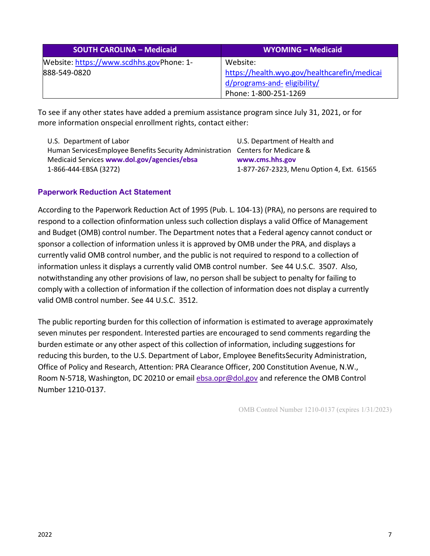| <b>SOUTH CAROLINA - Medicaid</b>         | WYOMING - Medicaid                           |  |
|------------------------------------------|----------------------------------------------|--|
| Website: https://www.scdhhs.govPhone: 1- | Website:                                     |  |
| 888-549-0820                             | https://health.wyo.gov/healthcarefin/medicai |  |
|                                          | d/programs-and-eligibility/                  |  |
|                                          | Phone: 1-800-251-1269                        |  |

To see if any other states have added a premium assistance program since July 31, 2021, or for more information onspecial enrollment rights, contact either:

| U.S. Department of Labor                                                       | U.S. Department of Health and             |
|--------------------------------------------------------------------------------|-------------------------------------------|
| Human ServicesEmployee Benefits Security Administration Centers for Medicare & |                                           |
| Medicaid Services www.dol.gov/agencies/ebsa                                    | www.cms.hhs.gov                           |
| 1-866-444-EBSA (3272)                                                          | 1-877-267-2323, Menu Option 4, Ext. 61565 |

#### **Paperwork Reduction Act Statement**

According to the Paperwork Reduction Act of 1995 (Pub. L. 104-13) (PRA), no persons are required to respond to a collection ofinformation unless such collection displays a valid Office of Management and Budget (OMB) control number. The Department notes that a Federal agency cannot conduct or sponsor a collection of information unless it is approved by OMB under the PRA, and displays a currently valid OMB control number, and the public is not required to respond to a collection of information unless it displays a currently valid OMB control number. See 44 U.S.C. 3507. Also, notwithstanding any other provisions of law, no person shall be subject to penalty for failing to comply with a collection of information if the collection of information does not display a currently valid OMB control number. See 44 U.S.C. 3512.

The public reporting burden for this collection of information is estimated to average approximately seven minutes per respondent. Interested parties are encouraged to send comments regarding the burden estimate or any other aspect of this collection of information, including suggestions for reducing this burden, to the U.S. Department of Labor, Employee BenefitsSecurity Administration, Office of Policy and Research, Attention: PRA Clearance Officer, 200 Constitution Avenue, N.W., Room N-5718, Washington, DC 20210 or email [ebsa.opr@dol.gov](mailto:ebsa.opr@dol.gov) and reference the OMB Control Number 1210-0137.

OMB Control Number 1210-0137 (expires 1/31/2023)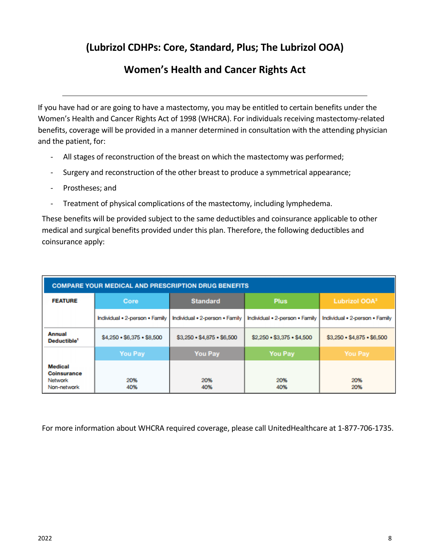## **(Lubrizol CDHPs: Core, Standard, Plus; The Lubrizol OOA)**

## **Women's Health and Cancer Rights Act**

<span id="page-7-0"></span>If you have had or are going to have a mastectomy, you may be entitled to certain benefits under the Women's Health and Cancer Rights Act of 1998 (WHCRA). For individuals receiving mastectomy-related benefits, coverage will be provided in a manner determined in consultation with the attending physician and the patient, for:

- All stages of reconstruction of the breast on which the mastectomy was performed;
- Surgery and reconstruction of the other breast to produce a symmetrical appearance;
- Prostheses; and
- Treatment of physical complications of the mastectomy, including lymphedema.

These benefits will be provided subject to the same deductibles and coinsurance applicable to other medical and surgical benefits provided under this plan. Therefore, the following deductibles and coinsurance apply:

| <b>COMPARE YOUR MEDICAL AND PRESCRIPTION DRUG BENEFITS</b> |                                    |                                    |                                    |                                    |
|------------------------------------------------------------|------------------------------------|------------------------------------|------------------------------------|------------------------------------|
| <b>FEATURE</b>                                             | Core                               | <b>Standard</b>                    | <b>Plus</b>                        | Lubrizol OOA <sup>3</sup>          |
|                                                            | Individual . 2-person . Family     | Individual . 2-person . Family     | Individual . 2-person . Family     | Individual . 2-person . Family     |
| <b>Annual</b><br>Deductible <sup>1</sup>                   | $$4,250 \cdot $6,375 \cdot $8,500$ | $$3,250 \cdot $4.875 \cdot $6,500$ | $$2,250 \cdot $3,375 \cdot $4,500$ | $$3,250 \cdot $4,875 \cdot $6,500$ |
|                                                            | <b>You Pay</b>                     | <b>You Pay</b>                     | <b>You Pay</b>                     | <b>You Pay</b>                     |
| Medical<br><b>Coinsurance</b><br>Network<br>Non-network    | 20%<br>40%                         | 20%<br>40%                         | 20%<br>40%                         | 20%<br>20%                         |

For more information about WHCRA required coverage, please call UnitedHealthcare at 1-877-706-1735.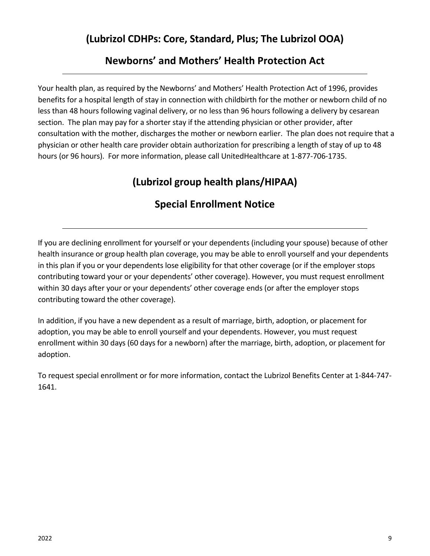## **(Lubrizol CDHPs: Core, Standard, Plus; The Lubrizol OOA)**

## **Newborns' and Mothers' Health Protection Act**

<span id="page-8-0"></span>Your health plan, as required by the Newborns' and Mothers' Health Protection Act of 1996, provides benefits for a hospital length of stay in connection with childbirth for the mother or newborn child of no less than 48 hours following vaginal delivery, or no less than 96 hours following a delivery by cesarean section. The plan may pay for a shorter stay if the attending physician or other provider, after consultation with the mother, discharges the mother or newborn earlier. The plan does not require that a physician or other health care provider obtain authorization for prescribing a length of stay of up to 48 hours (or 96 hours). For more information, please call UnitedHealthcare at 1-877-706-1735.

# **(Lubrizol group health plans/HIPAA)**

# **Special Enrollment Notice**

<span id="page-8-1"></span>If you are declining enrollment for yourself or your dependents (including your spouse) because of other health insurance or group health plan coverage, you may be able to enroll yourself and your dependents in this plan if you or your dependents lose eligibility for that other coverage (or if the employer stops contributing toward your or your dependents' other coverage). However, you must request enrollment within 30 days after your or your dependents' other coverage ends (or after the employer stops contributing toward the other coverage).

In addition, if you have a new dependent as a result of marriage, birth, adoption, or placement for adoption, you may be able to enroll yourself and your dependents. However, you must request enrollment within 30 days (60 days for a newborn) after the marriage, birth, adoption, or placement for adoption.

To request special enrollment or for more information, contact the Lubrizol Benefits Center at 1-844-747- 1641.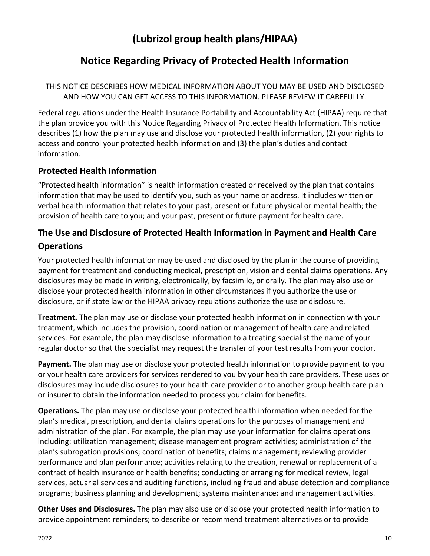## **Notice Regarding Privacy of Protected Health Information**

#### <span id="page-9-0"></span>THIS NOTICE DESCRIBES HOW MEDICAL INFORMATION ABOUT YOU MAY BE USED AND DISCLOSED AND HOW YOU CAN GET ACCESS TO THIS INFORMATION. PLEASE REVIEW IT CAREFULLY.

Federal regulations under the Health Insurance Portability and Accountability Act (HIPAA) require that the plan provide you with this Notice Regarding Privacy of Protected Health Information. This notice describes (1) how the plan may use and disclose your protected health information, (2) your rights to access and control your protected health information and (3) the plan's duties and contact information.

### **Protected Health Information**

"Protected health information" is health information created or received by the plan that contains information that may be used to identify you, such as your name or address. It includes written or verbal health information that relates to your past, present or future physical or mental health; the provision of health care to you; and your past, present or future payment for health care.

## **The Use and Disclosure of Protected Health Information in Payment and Health Care Operations**

Your protected health information may be used and disclosed by the plan in the course of providing payment for treatment and conducting medical, prescription, vision and dental claims operations. Any disclosures may be made in writing, electronically, by facsimile, or orally. The plan may also use or disclose your protected health information in other circumstances if you authorize the use or disclosure, or if state law or the HIPAA privacy regulations authorize the use or disclosure.

**Treatment.** The plan may use or disclose your protected health information in connection with your treatment, which includes the provision, coordination or management of health care and related services. For example, the plan may disclose information to a treating specialist the name of your regular doctor so that the specialist may request the transfer of your test results from your doctor.

**Payment.** The plan may use or disclose your protected health information to provide payment to you or your health care providers for services rendered to you by your health care providers. These uses or disclosures may include disclosures to your health care provider or to another group health care plan or insurer to obtain the information needed to process your claim for benefits.

**Operations.** The plan may use or disclose your protected health information when needed for the plan's medical, prescription, and dental claims operations for the purposes of management and administration of the plan. For example, the plan may use your information for claims operations including: utilization management; disease management program activities; administration of the plan's subrogation provisions; coordination of benefits; claims management; reviewing provider performance and plan performance; activities relating to the creation, renewal or replacement of a contract of health insurance or health benefits; conducting or arranging for medical review, legal services, actuarial services and auditing functions, including fraud and abuse detection and compliance programs; business planning and development; systems maintenance; and management activities.

**Other Uses and Disclosures.** The plan may also use or disclose your protected health information to provide appointment reminders; to describe or recommend treatment alternatives or to provide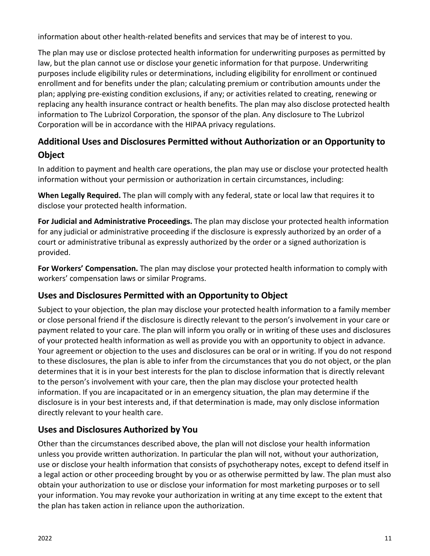information about other health-related benefits and services that may be of interest to you.

The plan may use or disclose protected health information for underwriting purposes as permitted by law, but the plan cannot use or disclose your genetic information for that purpose. Underwriting purposes include eligibility rules or determinations, including eligibility for enrollment or continued enrollment and for benefits under the plan; calculating premium or contribution amounts under the plan; applying pre-existing condition exclusions, if any; or activities related to creating, renewing or replacing any health insurance contract or health benefits. The plan may also disclose protected health information to The Lubrizol Corporation, the sponsor of the plan. Any disclosure to The Lubrizol Corporation will be in accordance with the HIPAA privacy regulations.

## **Additional Uses and Disclosures Permitted without Authorization or an Opportunity to Object**

In addition to payment and health care operations, the plan may use or disclose your protected health information without your permission or authorization in certain circumstances, including:

**When Legally Required.** The plan will comply with any federal, state or local law that requires it to disclose your protected health information.

**For Judicial and Administrative Proceedings.** The plan may disclose your protected health information for any judicial or administrative proceeding if the disclosure is expressly authorized by an order of a court or administrative tribunal as expressly authorized by the order or a signed authorization is provided.

**For Workers' Compensation.** The plan may disclose your protected health information to comply with workers' compensation laws or similar Programs.

### **Uses and Disclosures Permitted with an Opportunity to Object**

Subject to your objection, the plan may disclose your protected health information to a family member or close personal friend if the disclosure is directly relevant to the person's involvement in your care or payment related to your care. The plan will inform you orally or in writing of these uses and disclosures of your protected health information as well as provide you with an opportunity to object in advance. Your agreement or objection to the uses and disclosures can be oral or in writing. If you do not respond to these disclosures, the plan is able to infer from the circumstances that you do not object, or the plan determines that it is in your best interests for the plan to disclose information that is directly relevant to the person's involvement with your care, then the plan may disclose your protected health information. If you are incapacitated or in an emergency situation, the plan may determine if the disclosure is in your best interests and, if that determination is made, may only disclose information directly relevant to your health care.

### **Uses and Disclosures Authorized by You**

Other than the circumstances described above, the plan will not disclose your health information unless you provide written authorization. In particular the plan will not, without your authorization, use or disclose your health information that consists of psychotherapy notes, except to defend itself in a legal action or other proceeding brought by you or as otherwise permitted by law. The plan must also obtain your authorization to use or disclose your information for most marketing purposes or to sell your information. You may revoke your authorization in writing at any time except to the extent that the plan has taken action in reliance upon the authorization.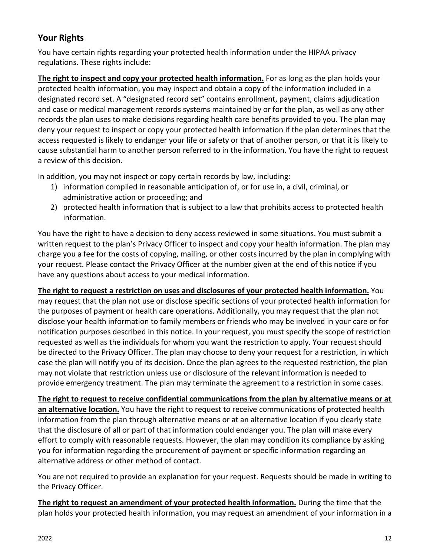### **Your Rights**

You have certain rights regarding your protected health information under the HIPAA privacy regulations. These rights include:

**The right to inspect and copy your protected health information.** For as long as the plan holds your protected health information, you may inspect and obtain a copy of the information included in a designated record set. A "designated record set" contains enrollment, payment, claims adjudication and case or medical management records systems maintained by or for the plan, as well as any other records the plan uses to make decisions regarding health care benefits provided to you. The plan may deny your request to inspect or copy your protected health information if the plan determines that the access requested is likely to endanger your life or safety or that of another person, or that it is likely to cause substantial harm to another person referred to in the information. You have the right to request a review of this decision.

In addition, you may not inspect or copy certain records by law, including:

- 1) information compiled in reasonable anticipation of, or for use in, a civil, criminal, or administrative action or proceeding; and
- 2) protected health information that is subject to a law that prohibits access to protected health information.

You have the right to have a decision to deny access reviewed in some situations. You must submit a written request to the plan's Privacy Officer to inspect and copy your health information. The plan may charge you a fee for the costs of copying, mailing, or other costs incurred by the plan in complying with your request. Please contact the Privacy Officer at the number given at the end of this notice if you have any questions about access to your medical information.

**The right to request a restriction on uses and disclosures of your protected health information.** You may request that the plan not use or disclose specific sections of your protected health information for the purposes of payment or health care operations. Additionally, you may request that the plan not disclose your health information to family members or friends who may be involved in your care or for notification purposes described in this notice. In your request, you must specify the scope of restriction requested as well as the individuals for whom you want the restriction to apply. Your request should be directed to the Privacy Officer. The plan may choose to deny your request for a restriction, in which case the plan will notify you of its decision. Once the plan agrees to the requested restriction, the plan may not violate that restriction unless use or disclosure of the relevant information is needed to provide emergency treatment. The plan may terminate the agreement to a restriction in some cases.

**The right to request to receive confidential communications from the plan by alternative means or at an alternative location.** You have the right to request to receive communications of protected health information from the plan through alternative means or at an alternative location if you clearly state that the disclosure of all or part of that information could endanger you. The plan will make every effort to comply with reasonable requests. However, the plan may condition its compliance by asking you for information regarding the procurement of payment or specific information regarding an alternative address or other method of contact.

You are not required to provide an explanation for your request. Requests should be made in writing to the Privacy Officer.

**The right to request an amendment of your protected health information.** During the time that the plan holds your protected health information, you may request an amendment of your information in a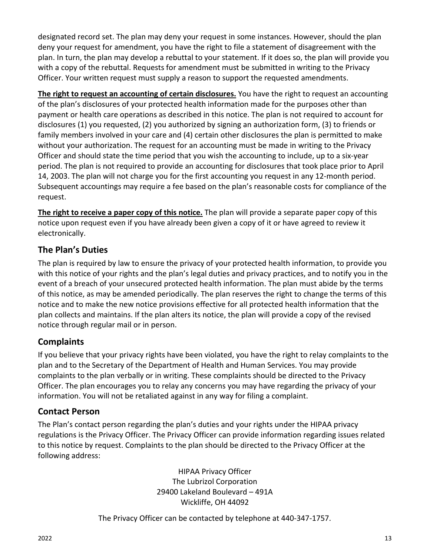designated record set. The plan may deny your request in some instances. However, should the plan deny your request for amendment, you have the right to file a statement of disagreement with the plan. In turn, the plan may develop a rebuttal to your statement. If it does so, the plan will provide you with a copy of the rebuttal. Requests for amendment must be submitted in writing to the Privacy Officer. Your written request must supply a reason to support the requested amendments.

**The right to request an accounting of certain disclosures.** You have the right to request an accounting of the plan's disclosures of your protected health information made for the purposes other than payment or health care operations as described in this notice. The plan is not required to account for disclosures (1) you requested, (2) you authorized by signing an authorization form, (3) to friends or family members involved in your care and (4) certain other disclosures the plan is permitted to make without your authorization. The request for an accounting must be made in writing to the Privacy Officer and should state the time period that you wish the accounting to include, up to a six-year period. The plan is not required to provide an accounting for disclosures that took place prior to April 14, 2003. The plan will not charge you for the first accounting you request in any 12-month period. Subsequent accountings may require a fee based on the plan's reasonable costs for compliance of the request.

**The right to receive a paper copy of this notice.** The plan will provide a separate paper copy of this notice upon request even if you have already been given a copy of it or have agreed to review it electronically.

### **The Plan's Duties**

The plan is required by law to ensure the privacy of your protected health information, to provide you with this notice of your rights and the plan's legal duties and privacy practices, and to notify you in the event of a breach of your unsecured protected health information. The plan must abide by the terms of this notice, as may be amended periodically. The plan reserves the right to change the terms of this notice and to make the new notice provisions effective for all protected health information that the plan collects and maintains. If the plan alters its notice, the plan will provide a copy of the revised notice through regular mail or in person.

### **Complaints**

If you believe that your privacy rights have been violated, you have the right to relay complaints to the plan and to the Secretary of the Department of Health and Human Services. You may provide complaints to the plan verbally or in writing. These complaints should be directed to the Privacy Officer. The plan encourages you to relay any concerns you may have regarding the privacy of your information. You will not be retaliated against in any way for filing a complaint.

### **Contact Person**

The Plan's contact person regarding the plan's duties and your rights under the HIPAA privacy regulations is the Privacy Officer. The Privacy Officer can provide information regarding issues related to this notice by request. Complaints to the plan should be directed to the Privacy Officer at the following address:

> HIPAA Privacy Officer The Lubrizol Corporation 29400 Lakeland Boulevard – 491A Wickliffe, OH 44092

The Privacy Officer can be contacted by telephone at 440-347-1757.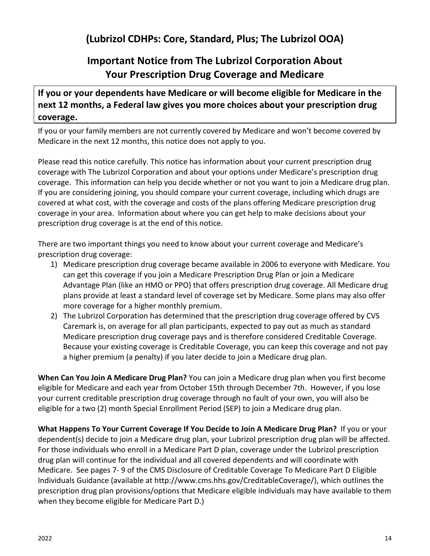## **Important Notice from The Lubrizol Corporation About Your Prescription Drug Coverage and Medicare**

### <span id="page-13-0"></span>**If you or your dependents have Medicare or will become eligible for Medicare in the next 12 months, a Federal law gives you more choices about your prescription drug coverage.**

If you or your family members are not currently covered by Medicare and won't become covered by Medicare in the next 12 months, this notice does not apply to you.

Please read this notice carefully. This notice has information about your current prescription drug coverage with The Lubrizol Corporation and about your options under Medicare's prescription drug coverage. This information can help you decide whether or not you want to join a Medicare drug plan. If you are considering joining, you should compare your current coverage, including which drugs are covered at what cost, with the coverage and costs of the plans offering Medicare prescription drug coverage in your area. Information about where you can get help to make decisions about your prescription drug coverage is at the end of this notice.

There are two important things you need to know about your current coverage and Medicare's prescription drug coverage:

- 1) Medicare prescription drug coverage became available in 2006 to everyone with Medicare. You can get this coverage if you join a Medicare Prescription Drug Plan or join a Medicare Advantage Plan (like an HMO or PPO) that offers prescription drug coverage. All Medicare drug plans provide at least a standard level of coverage set by Medicare. Some plans may also offer more coverage for a higher monthly premium.
- 2) The Lubrizol Corporation has determined that the prescription drug coverage offered by CVS Caremark is, on average for all plan participants, expected to pay out as much as standard Medicare prescription drug coverage pays and is therefore considered Creditable Coverage. Because your existing coverage is Creditable Coverage, you can keep this coverage and not pay a higher premium (a penalty) if you later decide to join a Medicare drug plan.

**When Can You Join A Medicare Drug Plan?** You can join a Medicare drug plan when you first become eligible for Medicare and each year from October 15th through December 7th. However, if you lose your current creditable prescription drug coverage through no fault of your own, you will also be eligible for a two (2) month Special Enrollment Period (SEP) to join a Medicare drug plan.

**What Happens To Your Current Coverage If You Decide to Join A Medicare Drug Plan?** If you or your dependent(s) decide to join a Medicare drug plan, your Lubrizol prescription drug plan will be affected. For those individuals who enroll in a Medicare Part D plan, coverage under the Lubrizol prescription drug plan will continue for the individual and all covered dependents and will coordinate with Medicare. See pages 7- 9 of the CMS Disclosure of Creditable Coverage To Medicare Part D Eligible Individuals Guidance (available at http://www.cms.hhs.gov/CreditableCoverage/), which outlines the prescription drug plan provisions/options that Medicare eligible individuals may have available to them when they become eligible for Medicare Part D.)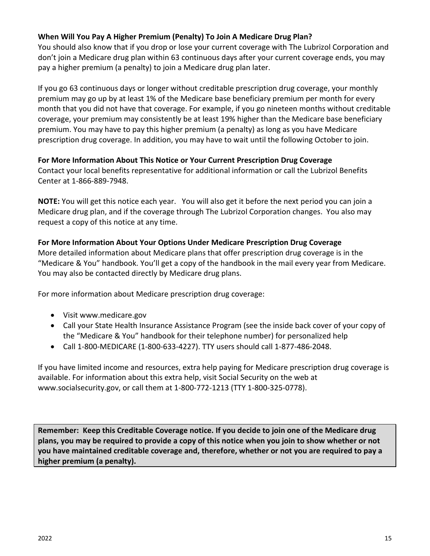#### **When Will You Pay A Higher Premium (Penalty) To Join A Medicare Drug Plan?**

You should also know that if you drop or lose your current coverage with The Lubrizol Corporation and don't join a Medicare drug plan within 63 continuous days after your current coverage ends, you may pay a higher premium (a penalty) to join a Medicare drug plan later.

If you go 63 continuous days or longer without creditable prescription drug coverage, your monthly premium may go up by at least 1% of the Medicare base beneficiary premium per month for every month that you did not have that coverage. For example, if you go nineteen months without creditable coverage, your premium may consistently be at least 19% higher than the Medicare base beneficiary premium. You may have to pay this higher premium (a penalty) as long as you have Medicare prescription drug coverage. In addition, you may have to wait until the following October to join.

#### **For More Information About This Notice or Your Current Prescription Drug Coverage**

Contact your local benefits representative for additional information or call the Lubrizol Benefits Center at 1-866-889-7948.

**NOTE:** You will get this notice each year. You will also get it before the next period you can join a Medicare drug plan, and if the coverage through The Lubrizol Corporation changes. You also may request a copy of this notice at any time.

#### **For More Information About Your Options Under Medicare Prescription Drug Coverage**

More detailed information about Medicare plans that offer prescription drug coverage is in the "Medicare & You" handbook. You'll get a copy of the handbook in the mail every year from Medicare. You may also be contacted directly by Medicare drug plans.

For more information about Medicare prescription drug coverage:

- Visit www.medicare.gov
- Call your State Health Insurance Assistance Program (see the inside back cover of your copy of the "Medicare & You" handbook for their telephone number) for personalized help
- Call 1-800-MEDICARE (1-800-633-4227). TTY users should call 1-877-486-2048.

If you have limited income and resources, extra help paying for Medicare prescription drug coverage is available. For information about this extra help, visit Social Security on the web at www.socialsecurity.gov, or call them at 1-800-772-1213 (TTY 1-800-325-0778).

**Remember: Keep this Creditable Coverage notice. If you decide to join one of the Medicare drug plans, you may be required to provide a copy of this notice when you join to show whether or not you have maintained creditable coverage and, therefore, whether or not you are required to pay a higher premium (a penalty).**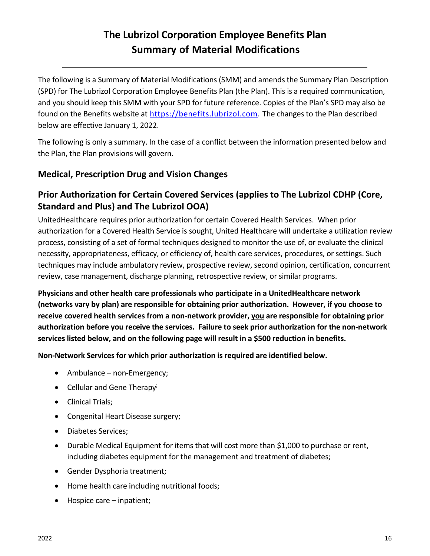# **The Lubrizol Corporation Employee Benefits Plan Summary of Material Modifications**

<span id="page-15-0"></span>The following is a Summary of Material Modifications (SMM) and amends the Summary Plan Description (SPD) for The Lubrizol Corporation Employee Benefits Plan (the Plan). This is a required communication, and you should keep this SMM with your SPD for future reference. Copies of the Plan's SPD may also be found on the Benefits website at [https://benefits.lubrizol.com.](https://benefits.lubrizol.com/Benefits-Basics/Medical-and-Prescription-Summary-Plan-Descriptions) The changes to the Plan described below are effective January 1, 2022.

The following is only a summary. In the case of a conflict between the information presented below and the Plan, the Plan provisions will govern.

### <span id="page-15-1"></span>**Medical, Prescription Drug and Vision Changes**

## <span id="page-15-2"></span>**Prior Authorization for Certain Covered Services (applies to The Lubrizol CDHP (Core, Standard and Plus) and The Lubrizol OOA)**

UnitedHealthcare requires prior authorization for certain Covered Health Services. When prior authorization for a Covered Health Service is sought, United Healthcare will undertake a utilization review process, consisting of a set of formal techniques designed to monitor the use of, or evaluate the clinical necessity, appropriateness, efficacy, or efficiency of, health care services, procedures, or settings. Such techniques may include ambulatory review, prospective review, second opinion, certification, concurrent review, case management, discharge planning, retrospective review, or similar programs.

**Physicians and other health care professionals who participate in a UnitedHealthcare network (networks vary by plan) are responsible for obtaining prior authorization. However, if you choose to receive covered health services from a non-network provider, you are responsible for obtaining prior authorization before you receive the services. Failure to seek prior authorization for the non-network services listed below, and on the following page will result in a \$500 reduction in benefits.** 

**Non-Network Services for which prior authorization is required are identified below.** 

- Ambulance non-Emergency;
- Cellular and Gene Therapy<sup>;</sup>
- Clinical Trials;
- Congenital Heart Disease surgery;
- Diabetes Services;
- Durable Medical Equipment for items that will cost more than \$1,000 to purchase or rent, including diabetes equipment for the management and treatment of diabetes;
- Gender Dysphoria treatment;
- Home health care including nutritional foods;
- Hospice care inpatient;